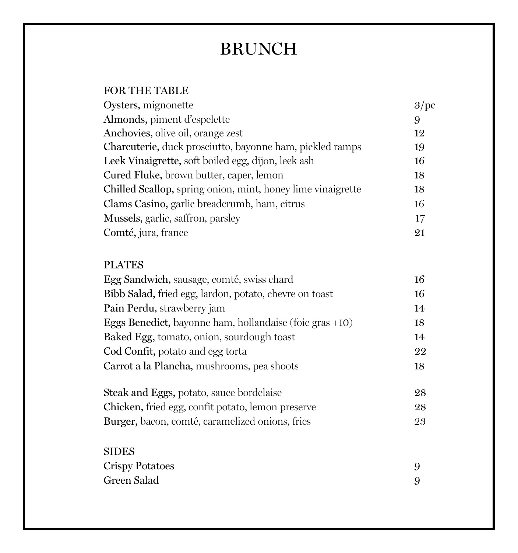# BRUNCH

### FOR THE TABLE

| Almonds, piment d'espelette<br>9                                  |  |
|-------------------------------------------------------------------|--|
|                                                                   |  |
| Anchovies, olive oil, orange zest<br>12                           |  |
| Charcuterie, duck prosciutto, bayonne ham, pickled ramps<br>19    |  |
| Leek Vinaigrette, soft boiled egg, dijon, leek ash<br>16          |  |
| Cured Fluke, brown butter, caper, lemon<br>18                     |  |
| Chilled Scallop, spring onion, mint, honey lime vinaigrette<br>18 |  |
| Clams Casino, garlic breadcrumb, ham, citrus<br>16                |  |
| Mussels, garlic, saffron, parsley<br>17                           |  |
| Comté, jura, france<br>21                                         |  |

### PLATES

| Egg Sandwich, sausage, comté, swiss chard<br>Bibb Salad, fried egg, lardon, potato, chevre on toast<br>Pain Perdu, strawberry jam<br>Eggs Benedict, bayonne ham, hollandaise (foie gras $+10$ )<br>Baked Egg, tomato, onion, sourdough toast | 16       |
|----------------------------------------------------------------------------------------------------------------------------------------------------------------------------------------------------------------------------------------------|----------|
|                                                                                                                                                                                                                                              | 16       |
|                                                                                                                                                                                                                                              | 14       |
|                                                                                                                                                                                                                                              | 18       |
|                                                                                                                                                                                                                                              | 14       |
| Cod Confit, potato and egg torta                                                                                                                                                                                                             | 22       |
| Carrot a la Plancha, mushrooms, pea shoots<br>Steak and Eggs, potato, sauce bordelaise                                                                                                                                                       | 18<br>28 |
|                                                                                                                                                                                                                                              |          |
| Burger, bacon, comté, caramelized onions, fries                                                                                                                                                                                              | 23       |
| <b>SIDES</b>                                                                                                                                                                                                                                 |          |
| Crispy Potatoes                                                                                                                                                                                                                              | 9        |
| Green Salad                                                                                                                                                                                                                                  | 9        |